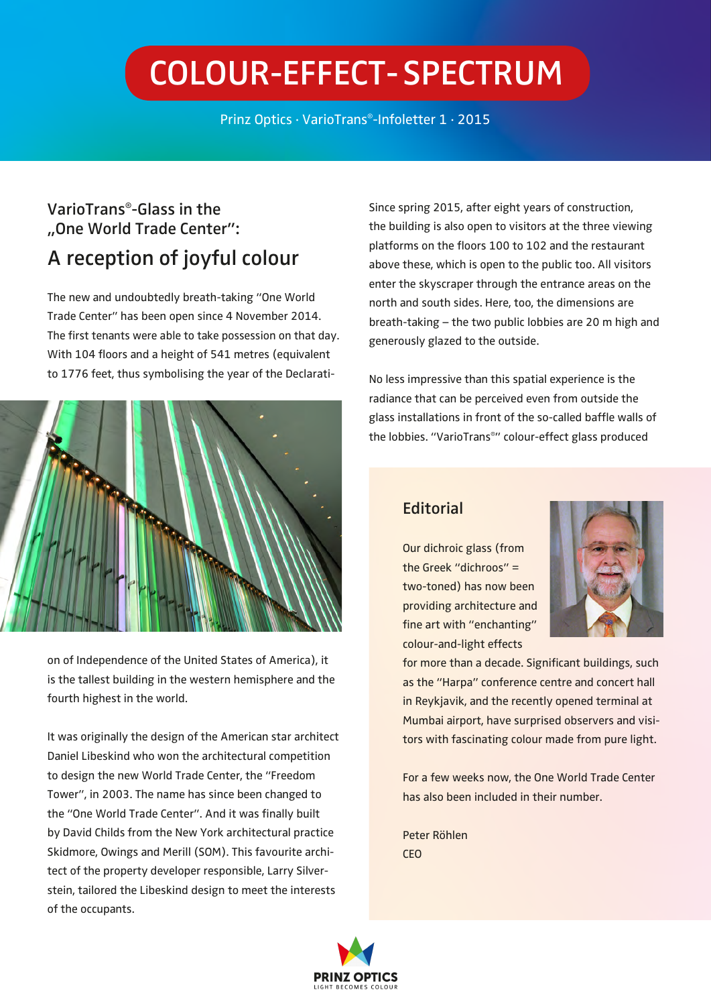# **Colour-Effect- Spectrum**

Prinz Optics · VarioTrans®-Infoletter 1 · 2015

### **VarioTrans®-Glass in the "One World Trade Center": A reception of joyful colour**

The new and undoubtedly breath-taking "One World Trade Center" has been open since 4 November 2014. The first tenants were able to take possession on that day. With 104 floors and a height of 541 metres (equivalent to 1776 feet, thus symbolising the year of the Declarati-



on of Independence of the United States of America), it is the tallest building in the western hemisphere and the fourth highest in the world.

It was originally the design of the American star architect Daniel Libeskind who won the architectural competition to design the new World Trade Center, the "Freedom Tower", in 2003. The name has since been changed to the "One World Trade Center". And it was finally built by David Childs from the New York architectural practice Skidmore, Owings and Merill (SOM). This favourite architect of the property developer responsible, Larry Silverstein, tailored the Libeskind design to meet the interests of the occupants.

Since spring 2015, after eight years of construction, the building is also open to visitors at the three viewing platforms on the floors 100 to 102 and the restaurant above these, which is open to the public too. All visitors enter the skyscraper through the entrance areas on the north and south sides. Here, too, the dimensions are breath-taking – the two public lobbies are 20 m high and generously glazed to the outside.

No less impressive than this spatial experience is the radiance that can be perceived even from outside the glass installations in front of the so-called baffle walls of the lobbies. "VarioTrans®" colour-effect glass produced

#### **Editorial**

Our dichroic glass (from the Greek "dichroos" = two-toned) has now been providing architecture and fine art with "enchanting" colour-and-light effects



for more than a decade. Significant buildings, such as the "Harpa" conference centre and concert hall in Reykjavik, and the recently opened terminal at Mumbai airport, have surprised observers and visitors with fascinating colour made from pure light.

For a few weeks now, the One World Trade Center has also been included in their number.

Peter Röhlen CEO

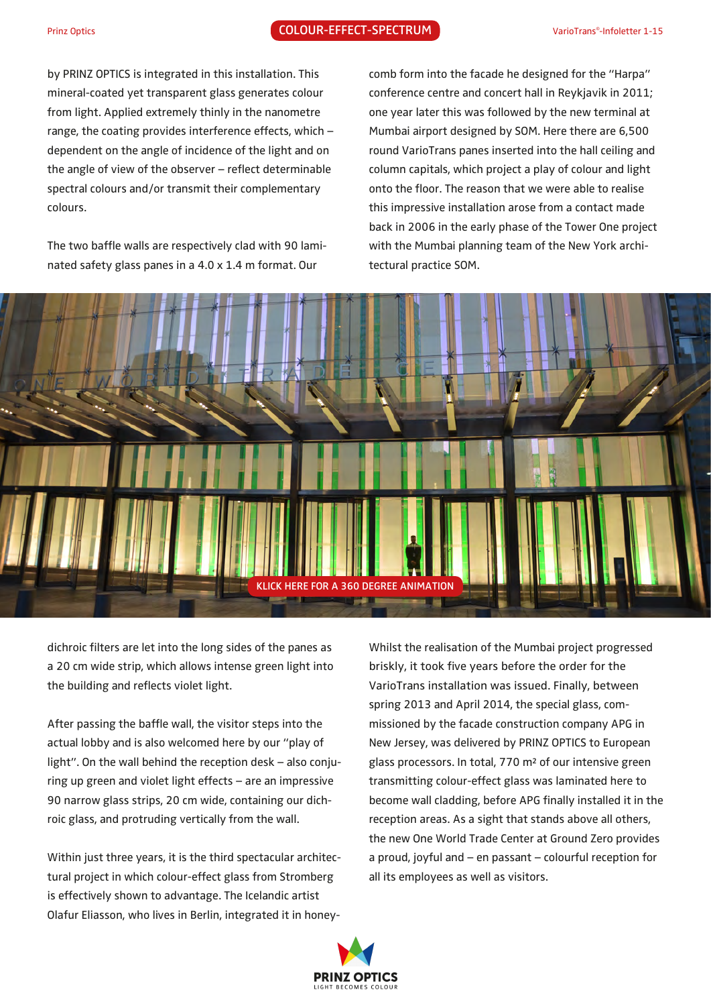by PRINZ OPTICS is integrated in this installation. This mineral-coated yet transparent glass generates colour from light. Applied extremely thinly in the nanometre range, the coating provides interference effects, which – dependent on the angle of incidence of the light and on the angle of view of the observer – reflect determinable spectral colours and/or transmit their complementary colours.

The two baffle walls are respectively clad with 90 laminated safety glass panes in a 4.0 x 1.4 m format. Our

comb form into the facade he designed for the "Harpa" conference centre and concert hall in Reykjavik in 2011; one year later this was followed by the new terminal at Mumbai airport designed by SOM. Here there are 6,500 round VarioTrans panes inserted into the hall ceiling and column capitals, which project a play of colour and light onto the floor. The reason that we were able to realise this impressive installation arose from a contact made back in 2006 in the early phase of the Tower One project with the Mumbai planning team of the New York architectural practice SOM.



dichroic filters are let into the long sides of the panes as a 20 cm wide strip, which allows intense green light into the building and reflects violet light.

After passing the baffle wall, the visitor steps into the actual lobby and is also welcomed here by our "play of light". On the wall behind the reception desk – also conjuring up green and violet light effects – are an impressive 90 narrow glass strips, 20 cm wide, containing our dichroic glass, and protruding vertically from the wall. **KLICK HERE FOR A 360 DEGREE ANIMATION**<br> **KLICK HERE FOR A 360 DEGREE ANIMATION**<br> **KLICK HERE FOR A 360 DEGREE ANIMATION**<br> **KLICK HERE STATE AND**<br> **KLICK HERE STATE AND**<br> **KLICK HERE STATE AND AND**<br> **KLICK HERE STATE AND A** 

Within just three years, it is the third spectacular architectural project in which colour-effect glass from Stromberg is effectively shown to advantage. The Icelandic artist Olafur Eliasson, who lives in Berlin, integrated it in honeyWhilst the realisation of the Mumbai project progressed briskly, it took five years before the order for the VarioTrans installation was issued. Finally, between spring 2013 and April 2014, the special glass, commissioned by the facade construction company APG in New Jersey, was delivered by PRINZ OPTICS to European glass processors. In total, 770 m² of our intensive green transmitting colour-effect glass was laminated here to become wall cladding, before APG finally installed it in the reception areas. As a sight that stands above all others, the new One World Trade Center at Ground Zero provides a proud, joyful and – en passant – colourful reception for all its employees as well as visitors.

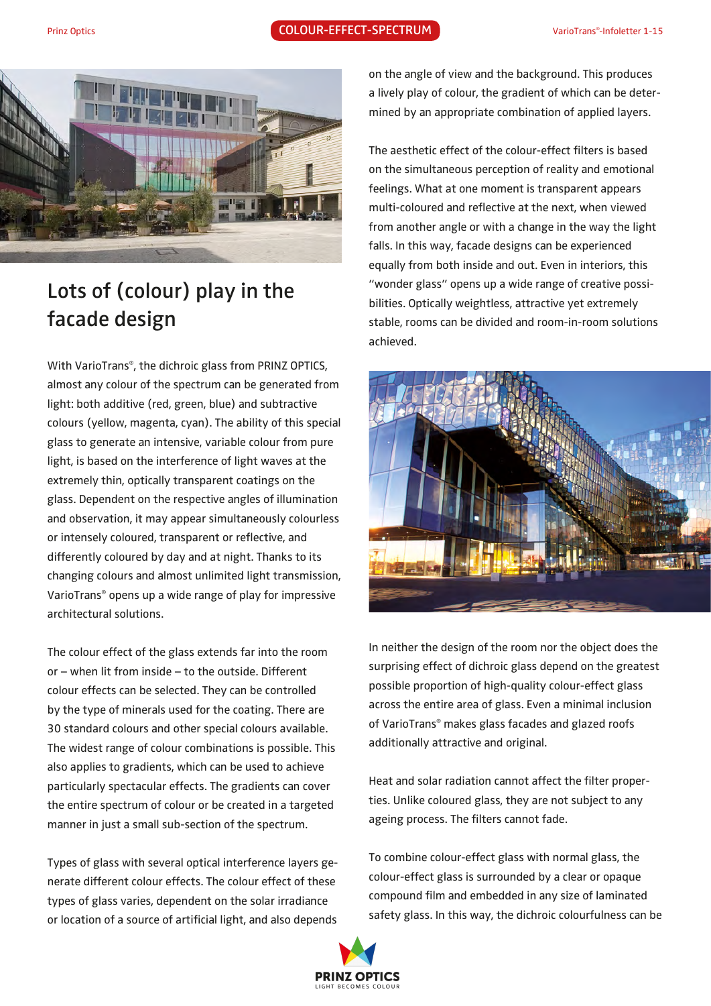

## **Lots of (colour) play in the facade design**

With VarioTrans®, the dichroic glass from PRINZ OPTICS, almost any colour of the spectrum can be generated from light: both additive (red, green, blue) and subtractive colours (yellow, magenta, cyan). The ability of this special glass to generate an intensive, variable colour from pure light, is based on the interference of light waves at the extremely thin, optically transparent coatings on the glass. Dependent on the respective angles of illumination and observation, it may appear simultaneously colourless or intensely coloured, transparent or reflective, and differently coloured by day and at night. Thanks to its changing colours and almost unlimited light transmission, VarioTrans® opens up a wide range of play for impressive architectural solutions.

The colour effect of the glass extends far into the room or – when lit from inside – to the outside. Different colour effects can be selected. They can be controlled by the type of minerals used for the coating. There are 30 standard colours and other special colours available. The widest range of colour combinations is possible. This also applies to gradients, which can be used to achieve particularly spectacular effects. The gradients can cover the entire spectrum of colour or be created in a targeted manner in just a small sub-section of the spectrum.

Types of glass with several optical interference layers generate different colour effects. The colour effect of these types of glass varies, dependent on the solar irradiance or location of a source of artificial light, and also depends on the angle of view and the background. This produces a lively play of colour, the gradient of which can be determined by an appropriate combination of applied layers.

The aesthetic effect of the colour-effect filters is based on the simultaneous perception of reality and emotional feelings. What at one moment is transparent appears multi-coloured and reflective at the next, when viewed from another angle or with a change in the way the light falls. In this way, facade designs can be experienced equally from both inside and out. Even in interiors, this "wonder glass" opens up a wide range of creative possibilities. Optically weightless, attractive yet extremely stable, rooms can be divided and room-in-room solutions achieved.



In neither the design of the room nor the object does the surprising effect of dichroic glass depend on the greatest possible proportion of high-quality colour-effect glass across the entire area of glass. Even a minimal inclusion of VarioTrans® makes glass facades and glazed roofs additionally attractive and original.

Heat and solar radiation cannot affect the filter properties. Unlike coloured glass, they are not subject to any ageing process. The filters cannot fade.

To combine colour-effect glass with normal glass, the colour-effect glass is surrounded by a clear or opaque compound film and embedded in any size of laminated safety glass. In this way, the dichroic colourfulness can be